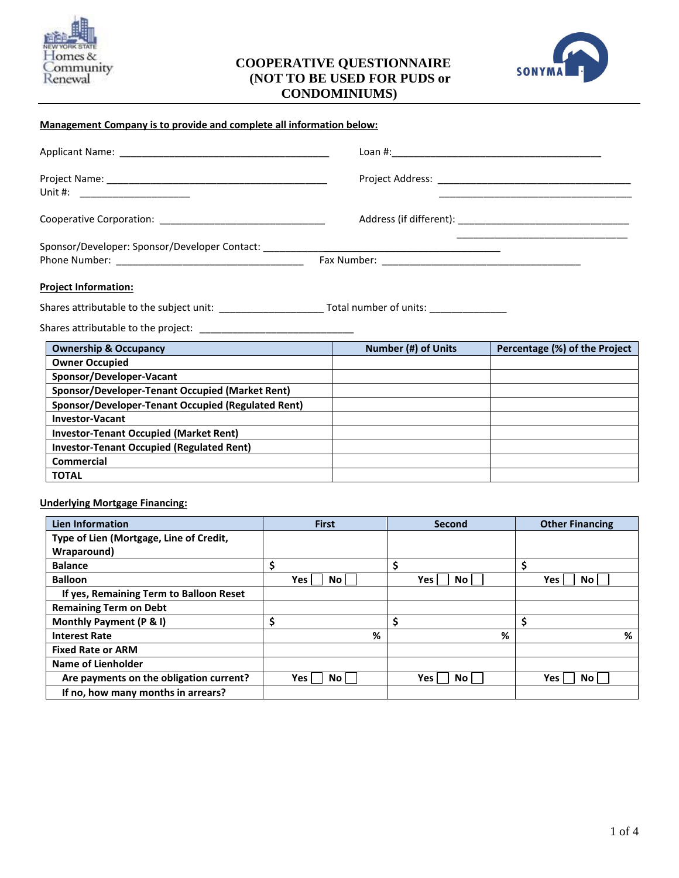

# **COOPERATIVE QUESTIONNAIRE (NOT TO BE USED FOR PUDS or CONDOMINIUMS)**



#### **Management Company is to provide and complete all information below:**

| Unit #: ______________________                                                   |                                     |  |
|----------------------------------------------------------------------------------|-------------------------------------|--|
|                                                                                  |                                     |  |
| Sponsor/Developer: Sponsor/Developer Contact: __________________________________ |                                     |  |
| <b>Project Information:</b>                                                      |                                     |  |
|                                                                                  | Total number of units: ____________ |  |

Shares attributable to the project: \_\_\_\_\_\_\_\_\_\_\_\_\_\_\_\_\_\_\_\_\_\_\_\_\_\_\_\_

| <b>Ownership &amp; Occupancy</b>                   | Number (#) of Units | Percentage (%) of the Project |
|----------------------------------------------------|---------------------|-------------------------------|
| <b>Owner Occupied</b>                              |                     |                               |
| Sponsor/Developer-Vacant                           |                     |                               |
| Sponsor/Developer-Tenant Occupied (Market Rent)    |                     |                               |
| Sponsor/Developer-Tenant Occupied (Regulated Rent) |                     |                               |
| <b>Investor-Vacant</b>                             |                     |                               |
| <b>Investor-Tenant Occupied (Market Rent)</b>      |                     |                               |
| <b>Investor-Tenant Occupied (Regulated Rent)</b>   |                     |                               |
| Commercial                                         |                     |                               |
| <b>TOTAL</b>                                       |                     |                               |

#### **Underlying Mortgage Financing:**

| Lien Information                        | <b>First</b>     |   | Second      |   |   | <b>Other Financing</b> |
|-----------------------------------------|------------------|---|-------------|---|---|------------------------|
| Type of Lien (Mortgage, Line of Credit, |                  |   |             |   |   |                        |
| Wraparound)                             |                  |   |             |   |   |                        |
| <b>Balance</b>                          | Ś                |   |             |   | Ś |                        |
| <b>Balloon</b>                          | Yes<br>No        |   | Yes  <br>No |   |   | Yes<br>No.             |
| If yes, Remaining Term to Balloon Reset |                  |   |             |   |   |                        |
| <b>Remaining Term on Debt</b>           |                  |   |             |   |   |                        |
| Monthly Payment (P & I)                 | \$               |   |             |   |   |                        |
| <b>Interest Rate</b>                    |                  | % |             | % |   | %                      |
| <b>Fixed Rate or ARM</b>                |                  |   |             |   |   |                        |
| <b>Name of Lienholder</b>               |                  |   |             |   |   |                        |
| Are payments on the obligation current? | Yes<br><b>No</b> |   | Yes  <br>No |   |   | Yes<br>No.             |
| If no, how many months in arrears?      |                  |   |             |   |   |                        |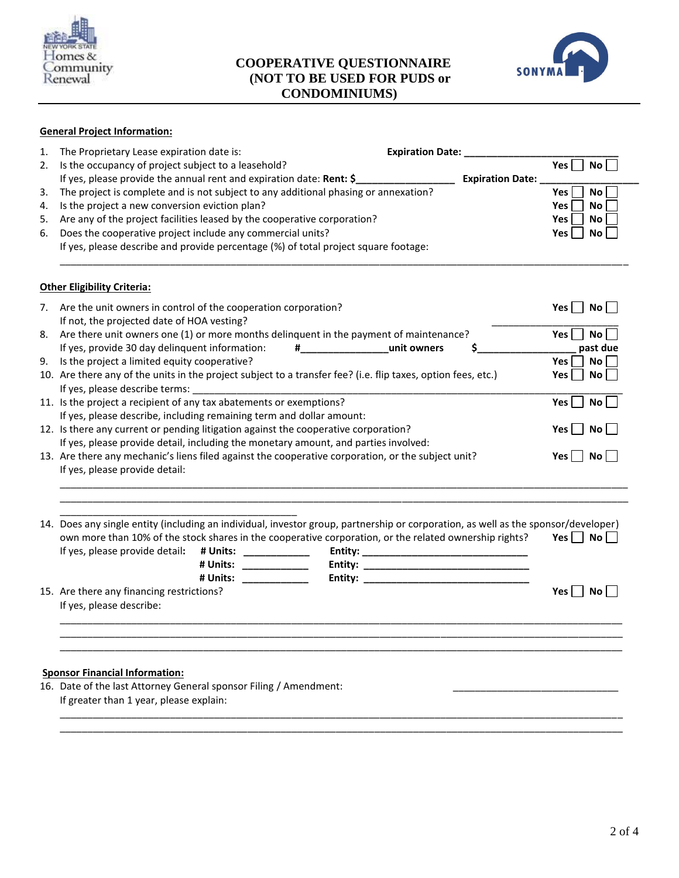

# **COOPERATIVE QUESTIONNAIRE (NOT TO BE USED FOR PUDS or CONDOMINIUMS)**



# **General Project Information:**

| 1.                                                                                                 | The Proprietary Lease expiration date is:                                                                                                                          | <b>Expiration Date:</b> |                              |  |
|----------------------------------------------------------------------------------------------------|--------------------------------------------------------------------------------------------------------------------------------------------------------------------|-------------------------|------------------------------|--|
| 2.                                                                                                 | Is the occupancy of project subject to a leasehold?                                                                                                                |                         | Yes $\lceil$<br>No           |  |
|                                                                                                    | If yes, please provide the annual rent and expiration date: Rent: \$                                                                                               |                         | <b>Expiration Date:</b>      |  |
| 3.                                                                                                 | The project is complete and is not subject to any additional phasing or annexation?                                                                                |                         | <b>Yes</b><br><b>No</b>      |  |
| 4.                                                                                                 | Is the project a new conversion eviction plan?                                                                                                                     |                         | No<br>Yes                    |  |
| 5.                                                                                                 | Are any of the project facilities leased by the cooperative corporation?                                                                                           |                         | <b>No</b><br><b>Yes</b>      |  |
| 6.                                                                                                 | Does the cooperative project include any commercial units?                                                                                                         |                         | Yes<br>No                    |  |
|                                                                                                    | If yes, please describe and provide percentage (%) of total project square footage:                                                                                |                         |                              |  |
|                                                                                                    | <b>Other Eligibility Criteria:</b>                                                                                                                                 |                         |                              |  |
| 7.                                                                                                 | Are the unit owners in control of the cooperation corporation?                                                                                                     |                         | No<br>$Yes$   $\blacksquare$ |  |
|                                                                                                    | If not, the projected date of HOA vesting?                                                                                                                         |                         |                              |  |
| 8.                                                                                                 | Are there unit owners one (1) or more months delinguent in the payment of maintenance?                                                                             |                         | Yes $\Box$<br>No             |  |
|                                                                                                    | # unit owners<br>If yes, provide 30 day delinquent information:                                                                                                    | \$                      | past due                     |  |
| 9.                                                                                                 | Is the project a limited equity cooperative?                                                                                                                       |                         | Yes $ $<br>No                |  |
|                                                                                                    | 10. Are there any of the units in the project subject to a transfer fee? (i.e. flip taxes, option fees, etc.)                                                      |                         | Yes<br>No                    |  |
|                                                                                                    | If yes, please describe terms:                                                                                                                                     |                         |                              |  |
|                                                                                                    | 11. Is the project a recipient of any tax abatements or exemptions?                                                                                                |                         | Yes<br>No                    |  |
|                                                                                                    | If yes, please describe, including remaining term and dollar amount:                                                                                               |                         |                              |  |
|                                                                                                    | 12. Is there any current or pending litigation against the cooperative corporation?                                                                                |                         | No<br>Yes                    |  |
|                                                                                                    | If yes, please provide detail, including the monetary amount, and parties involved:                                                                                |                         |                              |  |
| 13. Are there any mechanic's liens filed against the cooperative corporation, or the subject unit? |                                                                                                                                                                    |                         | $Yes \mid \text{No}$         |  |
|                                                                                                    | If yes, please provide detail:                                                                                                                                     |                         |                              |  |
|                                                                                                    |                                                                                                                                                                    |                         |                              |  |
|                                                                                                    | 14. Does any single entity (including an individual, investor group, partnership or corporation, as well as the sponsor/developer)                                 |                         |                              |  |
|                                                                                                    | own more than 10% of the stock shares in the cooperative corporation, or the related ownership rights?                                                             |                         | Yes $\Box$ No $\Box$         |  |
|                                                                                                    | If yes, please provide detail:<br># Units:<br><u> 1999 - Johann John Harry Harry Harry Harry Harry Harry Harry Harry Harry Harry Harry Harry Harry Harry Harry</u> |                         |                              |  |
|                                                                                                    | # Units:<br>$\overline{\phantom{a}}$ . The contract of $\overline{\phantom{a}}$                                                                                    |                         |                              |  |
|                                                                                                    | # Units:                                                                                                                                                           |                         |                              |  |
|                                                                                                    | 15. Are there any financing restrictions?                                                                                                                          |                         | Yes    <br>No l              |  |
|                                                                                                    | If yes, please describe:                                                                                                                                           |                         |                              |  |
|                                                                                                    |                                                                                                                                                                    |                         |                              |  |
|                                                                                                    |                                                                                                                                                                    |                         |                              |  |
|                                                                                                    |                                                                                                                                                                    |                         |                              |  |
|                                                                                                    | <b>Sponsor Financial Information:</b>                                                                                                                              |                         |                              |  |
|                                                                                                    | 16. Date of the last Attorney General sponsor Filing / Amendment:                                                                                                  |                         |                              |  |
|                                                                                                    | If greater than 1 year, please explain:                                                                                                                            |                         |                              |  |
|                                                                                                    |                                                                                                                                                                    |                         |                              |  |

\_\_\_\_\_\_\_\_\_\_\_\_\_\_\_\_\_\_\_\_\_\_\_\_\_\_\_\_\_\_\_\_\_\_\_\_\_\_\_\_\_\_\_\_\_\_\_\_\_\_\_\_\_\_\_\_\_\_\_\_\_\_\_\_\_\_\_\_\_\_\_\_\_\_\_\_\_\_\_\_\_\_\_\_\_\_\_\_\_\_\_\_\_\_\_\_\_\_\_\_\_\_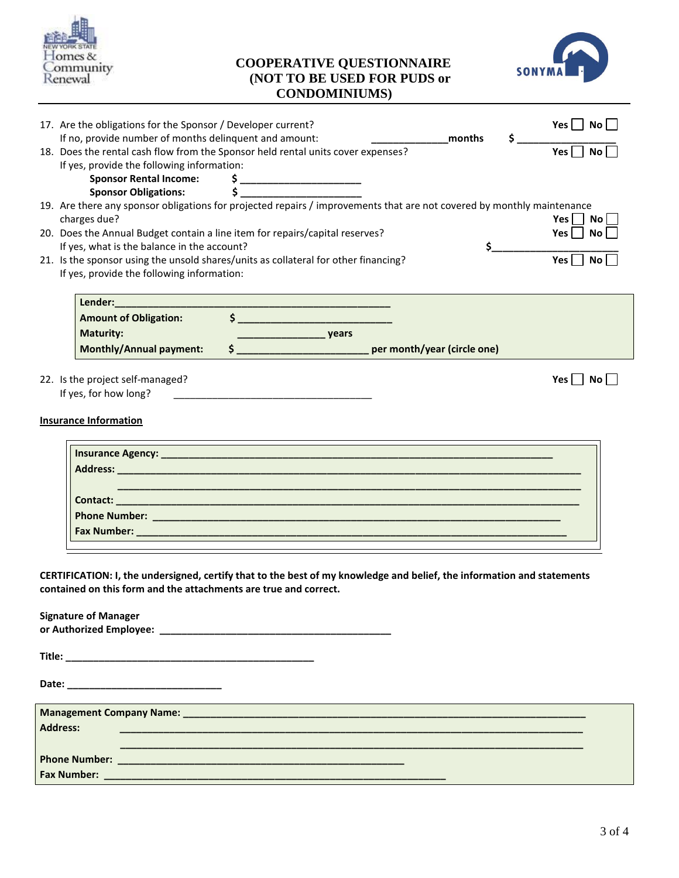

## **COOPERATIVE QUESTIONNAIRE (NOT TO BE USED FOR PUDS or CONDOMINIUMS)**



|                                                        | 17. Are the obligations for the Sponsor / Developer current?                              |                                                                                                                                                                                                                                                                                                                                                                                                                                                                                                                                                                                    | Yes $\Box$ No $\Box$                                                                                                                                                                      |
|--------------------------------------------------------|-------------------------------------------------------------------------------------------|------------------------------------------------------------------------------------------------------------------------------------------------------------------------------------------------------------------------------------------------------------------------------------------------------------------------------------------------------------------------------------------------------------------------------------------------------------------------------------------------------------------------------------------------------------------------------------|-------------------------------------------------------------------------------------------------------------------------------------------------------------------------------------------|
| If no, provide number of months delinquent and amount: |                                                                                           | \$<br>months                                                                                                                                                                                                                                                                                                                                                                                                                                                                                                                                                                       |                                                                                                                                                                                           |
|                                                        | 18. Does the rental cash flow from the Sponsor held rental units cover expenses?          |                                                                                                                                                                                                                                                                                                                                                                                                                                                                                                                                                                                    | $\frac{1}{\text{Yes}}$                                                                                                                                                                    |
|                                                        |                                                                                           |                                                                                                                                                                                                                                                                                                                                                                                                                                                                                                                                                                                    |                                                                                                                                                                                           |
|                                                        |                                                                                           |                                                                                                                                                                                                                                                                                                                                                                                                                                                                                                                                                                                    |                                                                                                                                                                                           |
|                                                        |                                                                                           |                                                                                                                                                                                                                                                                                                                                                                                                                                                                                                                                                                                    |                                                                                                                                                                                           |
|                                                        |                                                                                           |                                                                                                                                                                                                                                                                                                                                                                                                                                                                                                                                                                                    |                                                                                                                                                                                           |
| charges due?                                           |                                                                                           |                                                                                                                                                                                                                                                                                                                                                                                                                                                                                                                                                                                    | Yes     No                                                                                                                                                                                |
|                                                        |                                                                                           |                                                                                                                                                                                                                                                                                                                                                                                                                                                                                                                                                                                    | $Yes \nightharpoonup No$                                                                                                                                                                  |
|                                                        |                                                                                           | \$.                                                                                                                                                                                                                                                                                                                                                                                                                                                                                                                                                                                |                                                                                                                                                                                           |
|                                                        |                                                                                           |                                                                                                                                                                                                                                                                                                                                                                                                                                                                                                                                                                                    | Yes $\Gamma$<br><b>No</b>                                                                                                                                                                 |
|                                                        |                                                                                           |                                                                                                                                                                                                                                                                                                                                                                                                                                                                                                                                                                                    |                                                                                                                                                                                           |
|                                                        |                                                                                           |                                                                                                                                                                                                                                                                                                                                                                                                                                                                                                                                                                                    |                                                                                                                                                                                           |
|                                                        |                                                                                           |                                                                                                                                                                                                                                                                                                                                                                                                                                                                                                                                                                                    |                                                                                                                                                                                           |
|                                                        |                                                                                           |                                                                                                                                                                                                                                                                                                                                                                                                                                                                                                                                                                                    |                                                                                                                                                                                           |
| <b>Maturity:</b>                                       |                                                                                           |                                                                                                                                                                                                                                                                                                                                                                                                                                                                                                                                                                                    |                                                                                                                                                                                           |
|                                                        |                                                                                           |                                                                                                                                                                                                                                                                                                                                                                                                                                                                                                                                                                                    |                                                                                                                                                                                           |
|                                                        |                                                                                           |                                                                                                                                                                                                                                                                                                                                                                                                                                                                                                                                                                                    |                                                                                                                                                                                           |
|                                                        |                                                                                           |                                                                                                                                                                                                                                                                                                                                                                                                                                                                                                                                                                                    |                                                                                                                                                                                           |
|                                                        |                                                                                           |                                                                                                                                                                                                                                                                                                                                                                                                                                                                                                                                                                                    |                                                                                                                                                                                           |
|                                                        |                                                                                           |                                                                                                                                                                                                                                                                                                                                                                                                                                                                                                                                                                                    |                                                                                                                                                                                           |
|                                                        |                                                                                           |                                                                                                                                                                                                                                                                                                                                                                                                                                                                                                                                                                                    |                                                                                                                                                                                           |
|                                                        |                                                                                           |                                                                                                                                                                                                                                                                                                                                                                                                                                                                                                                                                                                    |                                                                                                                                                                                           |
|                                                        |                                                                                           |                                                                                                                                                                                                                                                                                                                                                                                                                                                                                                                                                                                    |                                                                                                                                                                                           |
|                                                        |                                                                                           |                                                                                                                                                                                                                                                                                                                                                                                                                                                                                                                                                                                    |                                                                                                                                                                                           |
|                                                        | 22. Is the project self-managed?<br>If yes, for how long?<br><b>Insurance Information</b> | If yes, provide the following information:<br>Sponsor Rental Income:<br>$\begin{array}{ccc}\n\text{S} & \text{S} & \text{S} & \text{S} \\ \text{Sponsor Obligations:} & \text{S} & \text{S} & \text{S} & \text{S} & \text{S} \\ \end{array}$<br>20. Does the Annual Budget contain a line item for repairs/capital reserves?<br>If yes, what is the balance in the account?<br>21. Is the sponsor using the unsold shares/units as collateral for other financing?<br>If yes, provide the following information:<br><b>Amount of Obligation:</b><br><b>Monthly/Annual payment:</b> | 19. Are there any sponsor obligations for projected repairs / improvements that are not covered by monthly maintenance<br>\$ ________________________________ per month/year (circle one) |

**Date: \_\_\_\_\_\_\_\_\_\_\_\_\_\_\_\_\_\_\_\_\_\_\_\_\_\_\_\_ Management Company Name: \_\_\_\_\_\_\_\_\_\_\_\_\_\_\_\_\_\_\_\_\_\_\_\_\_\_\_\_\_\_\_\_\_\_\_\_\_\_\_\_\_\_\_\_\_\_\_\_\_\_\_\_\_\_\_\_\_\_\_\_\_\_\_\_\_\_\_\_\_\_\_\_\_ Address: \_\_\_\_\_\_\_\_\_\_\_\_\_\_\_\_\_\_\_\_\_\_\_\_\_\_\_\_\_\_\_\_\_\_\_\_\_\_\_\_\_\_\_\_\_\_\_\_\_\_\_\_\_\_\_\_\_\_\_\_\_\_\_\_\_\_\_\_\_\_\_\_\_\_\_\_\_\_\_\_\_\_\_\_ \_\_\_\_\_\_\_\_\_\_\_\_\_\_\_\_\_\_\_\_\_\_\_\_\_\_\_\_\_\_\_\_\_\_\_\_\_\_\_\_\_\_\_\_\_\_\_\_\_\_\_\_\_\_\_\_\_\_\_\_\_\_\_\_\_\_\_\_\_\_\_\_\_\_\_\_\_\_\_\_\_\_\_\_ Phone Number: \_\_\_\_\_\_\_\_\_\_\_\_\_\_\_\_\_\_\_\_\_\_\_\_\_\_\_\_\_\_\_\_\_\_\_\_\_\_\_\_\_\_\_\_\_\_\_\_\_\_\_\_ Fax Number: \_\_\_\_\_\_\_\_\_\_\_\_\_\_\_\_\_\_\_\_\_\_\_\_\_\_\_\_\_\_\_\_\_\_\_\_\_\_\_\_\_\_\_\_\_\_\_\_\_\_\_\_\_\_\_\_\_\_\_\_\_\_**